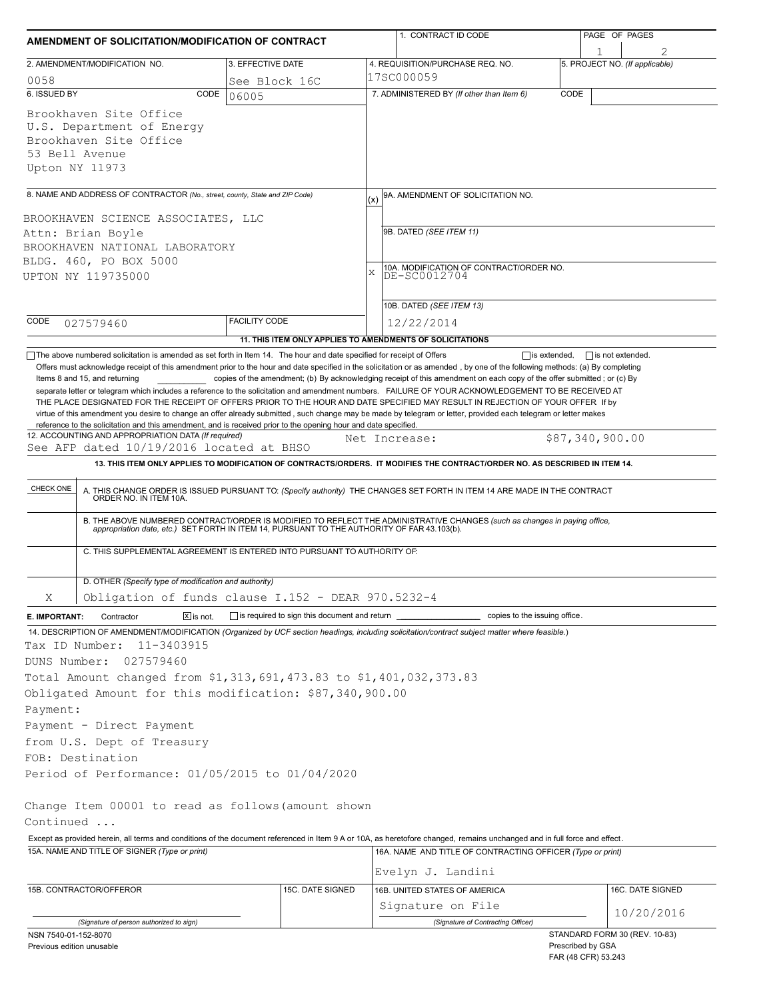| AMENDMENT OF SOLICITATION/MODIFICATION OF CONTRACT                                                                                                                                                                                                                                                                                                                                    |                                              |               | 1. CONTRACT ID CODE                                                                                                                                                                                                                                                                                                                                                          |      | PAGE OF PAGES                  |  |  |  |
|---------------------------------------------------------------------------------------------------------------------------------------------------------------------------------------------------------------------------------------------------------------------------------------------------------------------------------------------------------------------------------------|----------------------------------------------|---------------|------------------------------------------------------------------------------------------------------------------------------------------------------------------------------------------------------------------------------------------------------------------------------------------------------------------------------------------------------------------------------|------|--------------------------------|--|--|--|
| 2. AMENDMENT/MODIFICATION NO.                                                                                                                                                                                                                                                                                                                                                         | 3. EFFECTIVE DATE                            |               | 4. REQUISITION/PURCHASE REQ. NO.                                                                                                                                                                                                                                                                                                                                             |      | 5. PROJECT NO. (If applicable) |  |  |  |
|                                                                                                                                                                                                                                                                                                                                                                                       |                                              |               | 17SC000059                                                                                                                                                                                                                                                                                                                                                                   |      |                                |  |  |  |
| 0058<br>6. ISSUED BY<br>CODE                                                                                                                                                                                                                                                                                                                                                          | See Block 16C<br>06005                       |               | 7. ADMINISTERED BY (If other than Item 6)                                                                                                                                                                                                                                                                                                                                    | CODE |                                |  |  |  |
| Brookhaven Site Office<br>U.S. Department of Energy<br>Brookhaven Site Office<br>53 Bell Avenue<br>Upton NY 11973                                                                                                                                                                                                                                                                     |                                              |               |                                                                                                                                                                                                                                                                                                                                                                              |      |                                |  |  |  |
| 8. NAME AND ADDRESS OF CONTRACTOR (No., street, county, State and ZIP Code)                                                                                                                                                                                                                                                                                                           |                                              | (x)           | 9A. AMENDMENT OF SOLICITATION NO.                                                                                                                                                                                                                                                                                                                                            |      |                                |  |  |  |
|                                                                                                                                                                                                                                                                                                                                                                                       |                                              |               |                                                                                                                                                                                                                                                                                                                                                                              |      |                                |  |  |  |
| BROOKHAVEN SCIENCE ASSOCIATES, LLC<br>Attn: Brian Boyle                                                                                                                                                                                                                                                                                                                               |                                              |               | 9B. DATED (SEE ITEM 11)                                                                                                                                                                                                                                                                                                                                                      |      |                                |  |  |  |
| BROOKHAVEN NATIONAL LABORATORY                                                                                                                                                                                                                                                                                                                                                        |                                              |               |                                                                                                                                                                                                                                                                                                                                                                              |      |                                |  |  |  |
| BLDG. 460, PO BOX 5000                                                                                                                                                                                                                                                                                                                                                                |                                              |               |                                                                                                                                                                                                                                                                                                                                                                              |      |                                |  |  |  |
| UPTON NY 119735000                                                                                                                                                                                                                                                                                                                                                                    |                                              | X             | 10A. MODIFICATION OF CONTRACT/ORDER NO.<br>DE-SC0012704                                                                                                                                                                                                                                                                                                                      |      |                                |  |  |  |
|                                                                                                                                                                                                                                                                                                                                                                                       |                                              |               |                                                                                                                                                                                                                                                                                                                                                                              |      |                                |  |  |  |
|                                                                                                                                                                                                                                                                                                                                                                                       |                                              |               | 10B. DATED (SEE ITEM 13)                                                                                                                                                                                                                                                                                                                                                     |      |                                |  |  |  |
| CODE<br>027579460                                                                                                                                                                                                                                                                                                                                                                     | <b>FACILITY CODE</b>                         |               | 12/22/2014                                                                                                                                                                                                                                                                                                                                                                   |      |                                |  |  |  |
|                                                                                                                                                                                                                                                                                                                                                                                       |                                              |               | 11. THIS ITEM ONLY APPLIES TO AMENDMENTS OF SOLICITATIONS                                                                                                                                                                                                                                                                                                                    |      |                                |  |  |  |
| virtue of this amendment you desire to change an offer already submitted, such change may be made by telegram or letter, provided each telegram or letter makes<br>reference to the solicitation and this amendment, and is received prior to the opening hour and date specified.<br>12. ACCOUNTING AND APPROPRIATION DATA (If required)<br>See AFP dated 10/19/2016 located at BHSO |                                              | Net Increase: |                                                                                                                                                                                                                                                                                                                                                                              |      | \$87,340,900.00                |  |  |  |
|                                                                                                                                                                                                                                                                                                                                                                                       |                                              |               | 13. THIS ITEM ONLY APPLIES TO MODIFICATION OF CONTRACTS/ORDERS. IT MODIFIES THE CONTRACT/ORDER NO. AS DESCRIBED IN ITEM 14.                                                                                                                                                                                                                                                  |      |                                |  |  |  |
| CHECK ONE<br>C. THIS SUPPLEMENTAL AGREEMENT IS ENTERED INTO PURSUANT TO AUTHORITY OF:                                                                                                                                                                                                                                                                                                 |                                              |               | A. THIS CHANGE ORDER IS ISSUED PURSUANT TO: (Specify authority) THE CHANGES SET FORTH IN ITEM 14 ARE MADE IN THE CONTRACT ORDER NO. IN ITEM 10A.<br>B. THE ABOVE NUMBERED CONTRACT/ORDER IS MODIFIED TO REFLECT THE ADMINISTRATIVE CHANGES (such as changes in paying office,<br>appropriation date, etc.) SET FORTH IN ITEM 14, PURSUANT TO THE AUTHORITY OF FAR 43.103(b). |      |                                |  |  |  |
|                                                                                                                                                                                                                                                                                                                                                                                       |                                              |               |                                                                                                                                                                                                                                                                                                                                                                              |      |                                |  |  |  |
| D. OTHER (Specify type of modification and authority)<br>Obligation of funds clause I.152 - DEAR 970.5232-4<br>Χ                                                                                                                                                                                                                                                                      |                                              |               |                                                                                                                                                                                                                                                                                                                                                                              |      |                                |  |  |  |
| $X$ is not.<br>E. IMPORTANT:<br>Contractor                                                                                                                                                                                                                                                                                                                                            | is required to sign this document and return |               | _ copies to the issuing office.                                                                                                                                                                                                                                                                                                                                              |      |                                |  |  |  |
| 14. DESCRIPTION OF AMENDMENT/MODIFICATION (Organized by UCF section headings, including solicitation/contract subject matter where feasible.)<br>Tax ID Number:<br>11-3403915<br>DUNS Number:<br>027579460<br>Total Amount changed from \$1,313,691,473.83 to \$1,401,032,373.83                                                                                                      |                                              |               |                                                                                                                                                                                                                                                                                                                                                                              |      |                                |  |  |  |
| Obligated Amount for this modification: \$87,340,900.00                                                                                                                                                                                                                                                                                                                               |                                              |               |                                                                                                                                                                                                                                                                                                                                                                              |      |                                |  |  |  |
| Payment:                                                                                                                                                                                                                                                                                                                                                                              |                                              |               |                                                                                                                                                                                                                                                                                                                                                                              |      |                                |  |  |  |
| Payment - Direct Payment                                                                                                                                                                                                                                                                                                                                                              |                                              |               |                                                                                                                                                                                                                                                                                                                                                                              |      |                                |  |  |  |
| from U.S. Dept of Treasury                                                                                                                                                                                                                                                                                                                                                            |                                              |               |                                                                                                                                                                                                                                                                                                                                                                              |      |                                |  |  |  |
| FOB: Destination                                                                                                                                                                                                                                                                                                                                                                      |                                              |               |                                                                                                                                                                                                                                                                                                                                                                              |      |                                |  |  |  |
| Period of Performance: 01/05/2015 to 01/04/2020                                                                                                                                                                                                                                                                                                                                       |                                              |               |                                                                                                                                                                                                                                                                                                                                                                              |      |                                |  |  |  |
|                                                                                                                                                                                                                                                                                                                                                                                       |                                              |               |                                                                                                                                                                                                                                                                                                                                                                              |      |                                |  |  |  |
| Change Item 00001 to read as follows (amount shown                                                                                                                                                                                                                                                                                                                                    |                                              |               |                                                                                                                                                                                                                                                                                                                                                                              |      |                                |  |  |  |
| Continued                                                                                                                                                                                                                                                                                                                                                                             |                                              |               |                                                                                                                                                                                                                                                                                                                                                                              |      |                                |  |  |  |
| Except as provided herein, all terms and conditions of the document referenced in Item 9 A or 10A, as heretofore changed, remains unchanged and in full force and effect.                                                                                                                                                                                                             |                                              |               |                                                                                                                                                                                                                                                                                                                                                                              |      |                                |  |  |  |
| 15A. NAME AND TITLE OF SIGNER (Type or print)                                                                                                                                                                                                                                                                                                                                         |                                              |               | 16A. NAME AND TITLE OF CONTRACTING OFFICER (Type or print)                                                                                                                                                                                                                                                                                                                   |      |                                |  |  |  |
|                                                                                                                                                                                                                                                                                                                                                                                       |                                              |               | Evelyn J. Landini                                                                                                                                                                                                                                                                                                                                                            |      |                                |  |  |  |
| 15B. CONTRACTOR/OFFEROR                                                                                                                                                                                                                                                                                                                                                               | 15C. DATE SIGNED                             |               | 16B. UNITED STATES OF AMERICA                                                                                                                                                                                                                                                                                                                                                |      | 16C. DATE SIGNED               |  |  |  |
|                                                                                                                                                                                                                                                                                                                                                                                       |                                              |               | Signature on File                                                                                                                                                                                                                                                                                                                                                            |      |                                |  |  |  |
| (Signature of person authorized to sign)                                                                                                                                                                                                                                                                                                                                              |                                              |               | (Signature of Contracting Officer)                                                                                                                                                                                                                                                                                                                                           |      | 10/20/2016                     |  |  |  |
| NSN 7540-01-152-8070                                                                                                                                                                                                                                                                                                                                                                  |                                              |               |                                                                                                                                                                                                                                                                                                                                                                              |      | STANDARD FORM 30 (REV. 10-83)  |  |  |  |

Previous edition unusable

Prescribed by GSA FAR (48 CFR) 53.243